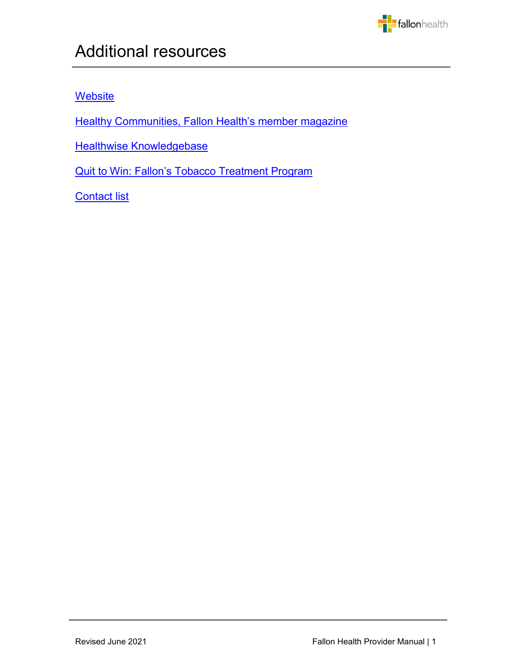

# **[Website](#page-1-0)**

**Healthy [Communities,](#page-1-1) Fallon Health's member magazine** 

j

**Healthwise [Knowledgebase](#page-1-2)** 

Quit to Win: Fallon's Tobacco [Treatment](#page-1-3) Program

**[Contact](#page-2-0) list**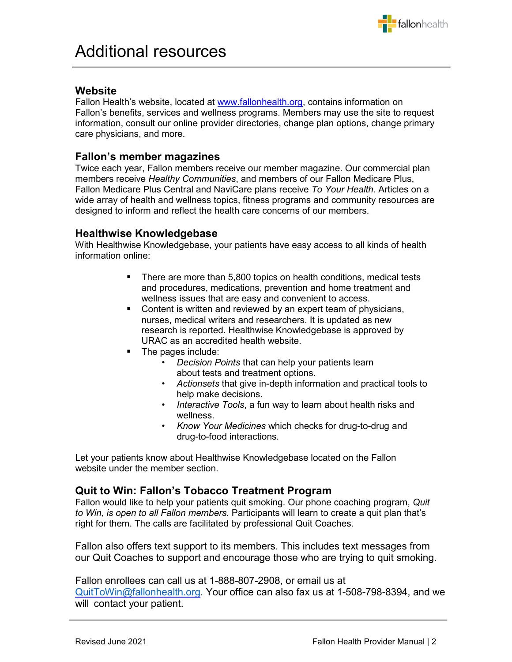

### <span id="page-1-0"></span>**Website**

Fallon Health's website, located at [www.fallonhealth.org,](http://www.fallonhealth.org/) contains information on Fallon's benefits, services and wellness programs. Members may use the site to request information, consult our online provider directories, change plan options, change primary care physicians, and more.

#### <span id="page-1-1"></span>**Fallon's member magazines**

Twice each year, Fallon members receive our member magazine. Our commercial plan members receive *Healthy Communities*, and members of our Fallon Medicare Plus, Fallon Medicare Plus Central and NaviCare plans receive *To Your Health*. Articles on a wide array of health and wellness topics, fitness programs and community resources are designed to inform and reflect the health care concerns of our members.

#### <span id="page-1-2"></span>**Healthwise Knowledgebase**

With Healthwise Knowledgebase, your patients have easy access to all kinds of health information online:

- There are more than 5,800 topics on health conditions, medical tests and procedures, medications, prevention and home treatment and wellness issues that are easy and convenient to access.
- Content is written and reviewed by an expert team of physicians, nurses, medical writers and researchers. It is updated as new research is reported. Healthwise Knowledgebase is approved by URAC as an accredited health website.
- The pages include:
	- *Decision Points* that can help your patients learn about tests and treatment options.
	- *Actionsets* that give in-depth information and practical tools to help make decisions.
	- *Interactive Tools*, a fun way to learn about health risks and wellness.
	- *Know Your Medicines* which checks for drug-to-drug and drug-to-food interactions.

Let your patients know about Healthwise Knowledgebase located on the Fallon website under the member section.

## <span id="page-1-3"></span>**Quit to Win: Fallon's Tobacco Treatment Program**

Fallon would like to help your patients quit smoking. Our phone coaching program, *Quit to Win, is open to all Fallon members.* Participants will learn to create a quit plan that's right for them. The calls are facilitated by professional Quit Coaches.

Fallon also offers text support to its members. This includes text messages from our Quit Coaches to support and encourage those who are trying to quit smoking.

Fallon enrollees can call us at 1-888-807-2908, or email us at [QuitToWin@fallonhealth.org.](mailto:QuitToWin@fallonhealth.org) Your office can also fax us at 1-508-798-8394, and we will contact your patient.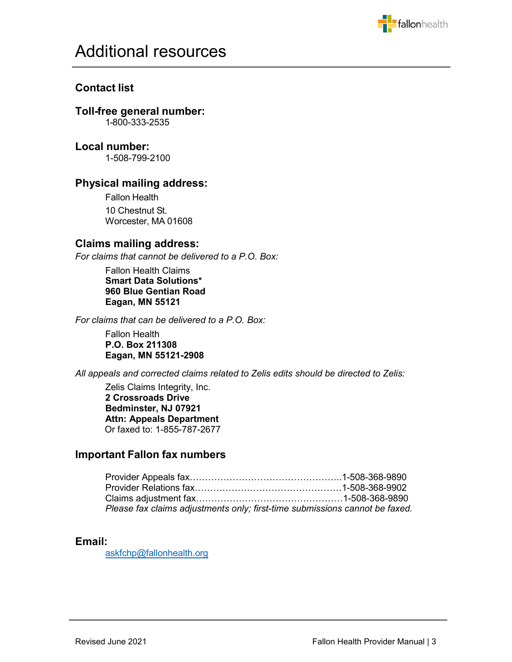

## <span id="page-2-0"></span>**Contact list**

## **Toll-free general number:**

1-800-333-2535

## **Local number:**

1-508-799-2100

## **Physical mailing address:**

Fallon Health 10 Chestnut St. Worcester, MA 01608

## **Claims mailing address:**

*For claims that cannot be delivered to a P.O. Box:* 

Fallon Health Claims **Smart Data Solutions\* 960 Blue Gentian Road Eagan, MN 55121**

*For claims that can be delivered to a P.O. Box:*

Fallon Health **P.O. Box 211308 Eagan, MN 55121-2908** 

*All appeals and corrected claims related to Zelis edits should be directed to Zelis:*

Zelis Claims Integrity, Inc. **2 Crossroads Drive Bedminster, NJ 07921 Attn: Appeals Department**  Or faxed to: 1-855-787-2677

## **Important Fallon fax numbers**

| Please fax claims adjustments only; first-time submissions cannot be faxed. |  |
|-----------------------------------------------------------------------------|--|

#### **Email:**

[askfchp@fallonhealth.org](mailto:askfchp@fallonhealth.org)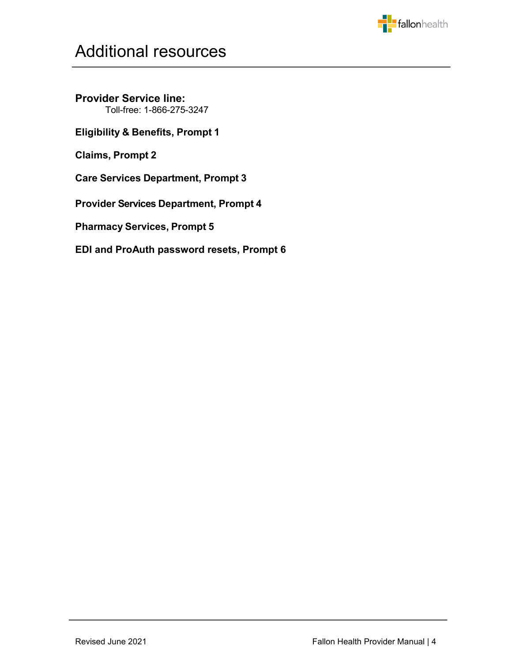

**Provider Service line:** Toll-free: 1-866-275-3247

**Eligibility & Benefits, Prompt 1**

**Claims, Prompt 2**

**Care Services Department, Prompt 3**

**Provider Services Department, Prompt 4**

**Pharmacy Services, Prompt 5**

**EDI and ProAuth password resets, Prompt 6**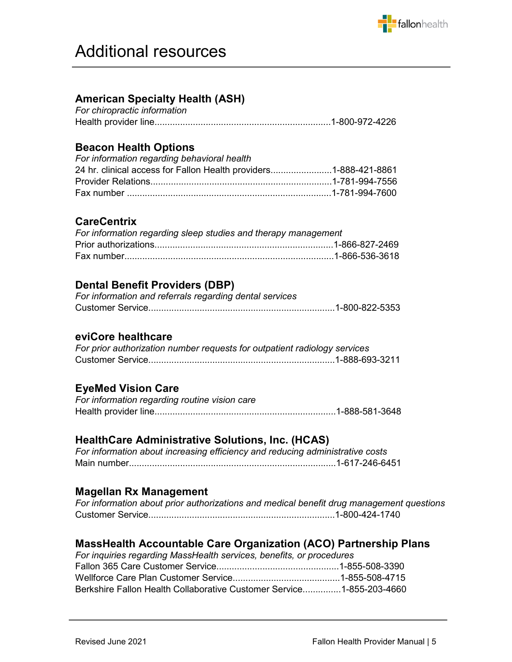

# **American Specialty Health (ASH)**

| For chiropractic information |  |
|------------------------------|--|
|                              |  |

## **Beacon Health Options**

| For information regarding behavioral health                      |  |
|------------------------------------------------------------------|--|
| 24 hr. clinical access for Fallon Health providers1-888-421-8861 |  |
|                                                                  |  |
|                                                                  |  |

## **CareCentrix**

| For information regarding sleep studies and therapy management |  |
|----------------------------------------------------------------|--|
|                                                                |  |
|                                                                |  |

# **Dental Benefit Providers (DBP)**

| For information and referrals regarding dental services |  |
|---------------------------------------------------------|--|
|                                                         |  |

## **eviCore healthcare**

| For prior authorization number requests for outpatient radiology services |  |
|---------------------------------------------------------------------------|--|
|                                                                           |  |

## **EyeMed Vision Care**

| For information regarding routine vision care |  |
|-----------------------------------------------|--|
|                                               |  |

## **HealthCare Administrative Solutions, Inc. (HCAS)**

| For information about increasing efficiency and reducing administrative costs |  |  |
|-------------------------------------------------------------------------------|--|--|
|                                                                               |  |  |

## **Magellan Rx Management**

| For information about prior authorizations and medical benefit drug management questions |  |
|------------------------------------------------------------------------------------------|--|
|                                                                                          |  |

## **MassHealth Accountable Care Organization (ACO) Partnership Plans**

| For inquiries regarding MassHealth services, benefits, or procedures |  |
|----------------------------------------------------------------------|--|
|                                                                      |  |
|                                                                      |  |
| Berkshire Fallon Health Collaborative Customer Service1-855-203-4660 |  |